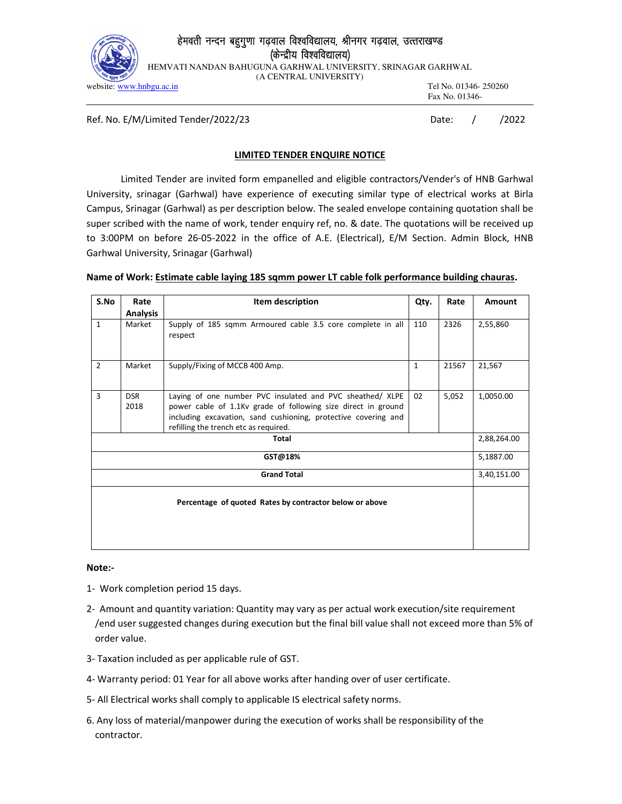

## हेमवती नन्दन बहुगुणा गढ़वाल विश्वविद्यालय, श्रीनगर गढ़वाल, उत्तराखण्ड (केन्द्रीय विश्वविद्यालय)

HEMVATI NANDAN BAHUGUNA GARHWAL UNIVERSITY, SRINAGAR GARHWAL

(A CENTRAL UNIVERSITY)

website: www.hnbgu.ac.in Tel No. 01346- 250260 Fax No. 01346-

Ref. No. E/M/Limited Tender/2022/23 Date: / / 2022

### **LIMITED TENDER ENQUIRE NOTICE**

Limited Tender are invited form empanelled and eligible contractors/Vender's of HNB Garhwal University, srinagar (Garhwal) have experience of executing similar type of electrical works at Birla Campus, Srinagar (Garhwal) as per description below. The sealed envelope containing quotation shall be super scribed with the name of work, tender enquiry ref, no. & date. The quotations will be received up to 3:00PM on before 26-05-2022 in the office of A.E. (Electrical), E/M Section. Admin Block, HNB Garhwal University, Srinagar (Garhwal)

#### **Name of Work: Estimate cable laying 185 sqmm power LT cable folk performance building chauras.**

| S.No                                                    | Rate            | Item description                                               |      | Rate  | Amount    |  |  |
|---------------------------------------------------------|-----------------|----------------------------------------------------------------|------|-------|-----------|--|--|
|                                                         |                 |                                                                | Qty. |       |           |  |  |
|                                                         | <b>Analysis</b> |                                                                |      |       |           |  |  |
| $\mathbf{1}$                                            | Market          | Supply of 185 sqmm Armoured cable 3.5 core complete in all     | 110  | 2326  | 2,55,860  |  |  |
|                                                         |                 | respect                                                        |      |       |           |  |  |
|                                                         |                 |                                                                |      |       |           |  |  |
|                                                         |                 |                                                                |      |       |           |  |  |
| $\overline{2}$                                          | Market          | Supply/Fixing of MCCB 400 Amp.                                 | 1    | 21567 | 21,567    |  |  |
|                                                         |                 |                                                                |      |       |           |  |  |
|                                                         |                 |                                                                |      |       |           |  |  |
| 3                                                       | <b>DSR</b>      | Laying of one number PVC insulated and PVC sheathed/ XLPE      | 02   | 5,052 | 1,0050.00 |  |  |
|                                                         | 2018            | power cable of 1.1Kv grade of following size direct in ground  |      |       |           |  |  |
|                                                         |                 | including excavation, sand cushioning, protective covering and |      |       |           |  |  |
|                                                         |                 | refilling the trench etc as required.                          |      |       |           |  |  |
| Total                                                   |                 |                                                                |      |       |           |  |  |
|                                                         |                 |                                                                |      |       |           |  |  |
| GST@18%                                                 |                 |                                                                |      |       |           |  |  |
|                                                         |                 |                                                                |      |       |           |  |  |
| <b>Grand Total</b>                                      |                 |                                                                |      |       |           |  |  |
|                                                         |                 |                                                                |      |       |           |  |  |
| Percentage of quoted Rates by contractor below or above |                 |                                                                |      |       |           |  |  |
|                                                         |                 |                                                                |      |       |           |  |  |
|                                                         |                 |                                                                |      |       |           |  |  |
|                                                         |                 |                                                                |      |       |           |  |  |
|                                                         |                 |                                                                |      |       |           |  |  |
|                                                         |                 |                                                                |      |       |           |  |  |

#### **Note:-**

- 1- Work completion period 15 days.
- 2- Amount and quantity variation: Quantity may vary as per actual work execution/site requirement /end user suggested changes during execution but the final bill value shall not exceed more than 5% of order value.
- 3- Taxation included as per applicable rule of GST.
- 4- Warranty period: 01 Year for all above works after handing over of user certificate.
- 5- All Electrical works shall comply to applicable IS electrical safety norms.
- 6. Any loss of material/manpower during the execution of works shall be responsibility of the contractor.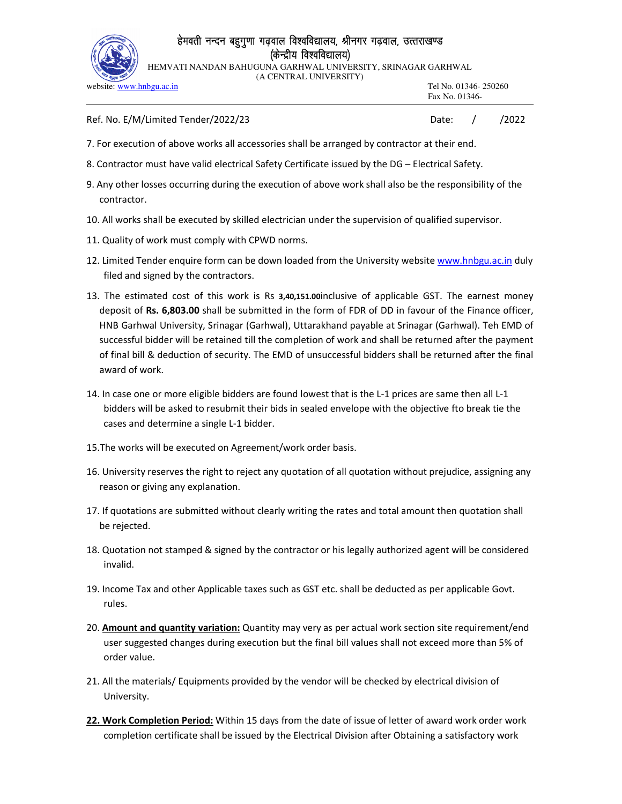

## हेमवती नन्दन बहुगुणा गढ़वाल विश्वविद्यालय, श्रीनगर गढ़वाल, उत्तराखण्ड (केन्द्रीय विश्वविद्यालय)

HEMVATI NANDAN BAHUGUNA GARHWAL UNIVERSITY, SRINAGAR GARHWAL (A CENTRAL UNIVERSITY)

| $\sim$ 33 $\sim$<br>website: www.hnbgu.ac.in | Tel No. 01346-250260<br>Fax No. 01346- |  |       |  |
|----------------------------------------------|----------------------------------------|--|-------|--|
| Ref. No. E/M/Limited Tender/2022/23          | Date:                                  |  | /2022 |  |

- 7. For execution of above works all accessories shall be arranged by contractor at their end.
- 8. Contractor must have valid electrical Safety Certificate issued by the DG Electrical Safety.
- 9. Any other losses occurring during the execution of above work shall also be the responsibility of the contractor.
- 10. All works shall be executed by skilled electrician under the supervision of qualified supervisor.
- 11. Quality of work must comply with CPWD norms.
- 12. Limited Tender enquire form can be down loaded from the University website www.hnbgu.ac.in duly filed and signed by the contractors.
- 13. The estimated cost of this work is Rs **3,40,151.00**inclusive of applicable GST. The earnest money deposit of **Rs. 6,803.00** shall be submitted in the form of FDR of DD in favour of the Finance officer, HNB Garhwal University, Srinagar (Garhwal), Uttarakhand payable at Srinagar (Garhwal). Teh EMD of successful bidder will be retained till the completion of work and shall be returned after the payment of final bill & deduction of security. The EMD of unsuccessful bidders shall be returned after the final award of work.
- 14. In case one or more eligible bidders are found lowest that is the L-1 prices are same then all L-1 bidders will be asked to resubmit their bids in sealed envelope with the objective fto break tie the cases and determine a single L-1 bidder.
- 15.The works will be executed on Agreement/work order basis.
- 16. University reserves the right to reject any quotation of all quotation without prejudice, assigning any reason or giving any explanation.
- 17. If quotations are submitted without clearly writing the rates and total amount then quotation shall be rejected.
- 18. Quotation not stamped & signed by the contractor or his legally authorized agent will be considered invalid.
- 19. Income Tax and other Applicable taxes such as GST etc. shall be deducted as per applicable Govt. rules.
- 20. **Amount and quantity variation:** Quantity may very as per actual work section site requirement/end user suggested changes during execution but the final bill values shall not exceed more than 5% of order value.
- 21. All the materials/ Equipments provided by the vendor will be checked by electrical division of University.
- **22. Work Completion Period:** Within 15 days from the date of issue of letter of award work order work completion certificate shall be issued by the Electrical Division after Obtaining a satisfactory work